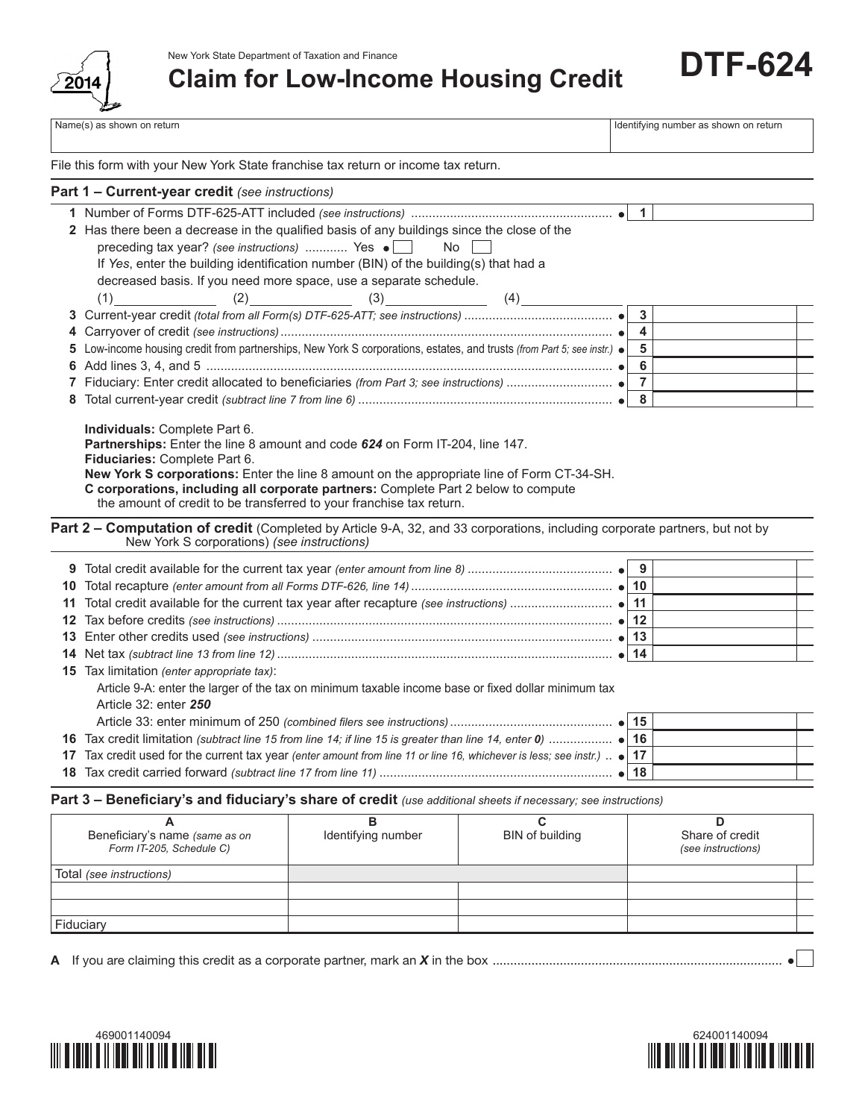

New York State Department of Taxation and Finance

**Claim for Low-Income Housing Credit**

Name(s) as shown on return in the state of the state of the state of the state of the state of the state of the state of the state of the state of the state of the state of the state of the state of the state of the state **9** Total credit available for the current tax year *(enter amount from line 8)* ......................................... **9 10** Total recapture *(enter amount from all Forms DTF-626, line 14)* ......................................................... **10 11** Total credit available for the current tax year after recapture *(see instructions)* ............................. **11 12** Tax before credits *(see instructions)* ............................................................................................... **12 13** Enter other credits used *(see instructions)* ..................................................................................... **13 14** Net tax *(subtract line 13 from line 12)* ............................................................................................... **14 15** Tax limitation *(enter appropriate tax)*: Article 9-A: enter the larger of the tax on minimum taxable income base or fixed dollar minimum tax Article 32: enter *250* Article 33: enter minimum of 250 *(combined filers see instructions)*.............................................. **15 16** Tax credit limitation *(subtract line 15 from line 14; if line 15 is greater than line 14, enter 0)* .................. **16 17** Tax credit used for the current tax year *(enter amount from line 11 or line 16, whichever is less; see instr.)* .. **17 18** Tax credit carried forward *(subtract line 17 from line 11)* .................................................................. **18 Part 3 – Beneficiary's and fiduciary's share of credit** *(use additional sheets if necessary; see instructions)* **A B C D** Beneficiary's name *(same as on* Identifying number I BIN of building Share of credit **1** Number of Forms DTF-625-ATT included *(see instructions)* ......................................................... **1 2** Has there been a decrease in the qualified basis of any buildings since the close of the preceding tax year? *(see instructions)* ............ Yes  $\bullet$  No If *Yes*, enter the building identification number (BIN) of the building(s) that had a decreased basis. If you need more space, use a separate schedule.  $(1)$   $(2)$   $(3)$   $(4)$ **3** Current-year credit *(total from all Form(s) DTF-625-ATT; see instructions)* .......................................... **3 4** Carryover of credit *(see instructions)*.............................................................................................. **4 5** Low-income housing credit from partnerships, New York S corporations, estates, and trusts *(from Part 5; see instr.)* **5 6** Add lines 3, 4, and 5 ................................................................................................................... **6 7** Fiduciary: Enter credit allocated to beneficiaries *(from Part 3; see instructions)* .............................. **7 8** Total current-year credit *(subtract line 7 from line 6)* ........................................................................ **8 Individuals:** Complete Part 6. **Partnerships:** Enter the line 8 amount and code *624* on Form IT-204, line 147. **Fiduciaries:** Complete Part 6. **New York S corporations:** Enter the line 8 amount on the appropriate line of Form CT-34-SH. **C corporations, including all corporate partners:** Complete Part 2 below to compute the amount of credit to be transferred to your franchise tax return. **Part 1 – Current-year credit** *(see instructions)* Part 2 – Computation of credit (Completed by Article 9-A, 32, and 33 corporations, including corporate partners, but not by New York S corporations) *(see instructions)* File this form with your New York State franchise tax return or income tax return.

| Beneficiary's name (same as on<br>Form IT-205, Schedule C) | Identifying number | BIN of building | Share of credit<br>(see instructions) |
|------------------------------------------------------------|--------------------|-----------------|---------------------------------------|
| Total (see instructions)                                   |                    |                 |                                       |
|                                                            |                    |                 |                                       |
|                                                            |                    |                 |                                       |
| Fiduciary                                                  |                    |                 |                                       |
|                                                            |                    |                 |                                       |

A If you are claiming this credit as a corporate partner, mark an *X* in the box ..................................................................................





**DTF-624**